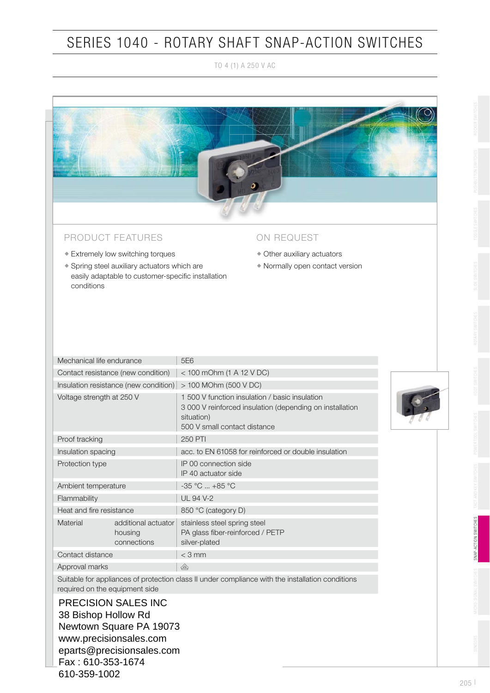# SERIES 1040 - ROTARY SHAFT SNAP-ACTION SWITCHES

TO 4 (1) A 250 V AC



### PRODUCT FEATURES

- Extremely low switching torques
- Spring steel auxiliary actuators which are easily adaptable to customer-specific installation conditions

### ON REQUEST

- Other auxiliary actuators
- Normally open contact version

| Mechanical life endurance                                                                                                          |                                               | 5E6                                                                                                                                                      |  |  |  |  |
|------------------------------------------------------------------------------------------------------------------------------------|-----------------------------------------------|----------------------------------------------------------------------------------------------------------------------------------------------------------|--|--|--|--|
| Contact resistance (new condition)                                                                                                 |                                               | $<$ 100 mOhm (1 A 12 V DC)                                                                                                                               |  |  |  |  |
| Insulation resistance (new condition) $ $ > 100 MOhm (500 V DC)                                                                    |                                               |                                                                                                                                                          |  |  |  |  |
| Voltage strength at 250 V                                                                                                          |                                               | 1,500 V function insulation / basic insulation<br>3 000 V reinforced insulation (depending on installation<br>situation)<br>500 V small contact distance |  |  |  |  |
| Proof tracking                                                                                                                     |                                               | <b>250 PTI</b>                                                                                                                                           |  |  |  |  |
| Insulation spacing                                                                                                                 |                                               | acc. to EN 61058 for reinforced or double insulation                                                                                                     |  |  |  |  |
| Protection type                                                                                                                    |                                               | IP 00 connection side<br>IP 40 actuator side                                                                                                             |  |  |  |  |
| Ambient temperature                                                                                                                |                                               | $-35 °C$ $+85 °C$                                                                                                                                        |  |  |  |  |
| Flammability                                                                                                                       |                                               | <b>UL 94 V-2</b>                                                                                                                                         |  |  |  |  |
| Heat and fire resistance                                                                                                           |                                               | 850 °C (category D)                                                                                                                                      |  |  |  |  |
| Material                                                                                                                           | additional actuator<br>housing<br>connections | stainless steel spring steel<br>PA glass fiber-reinforced / PETP<br>silver-plated                                                                        |  |  |  |  |
| Contact distance                                                                                                                   |                                               | $<$ 3 mm                                                                                                                                                 |  |  |  |  |
| Approval marks                                                                                                                     |                                               | $\mathbb{Q}$                                                                                                                                             |  |  |  |  |
| Suitable for appliances of protection class II under compliance with the installation conditions<br>required on the equipment side |                                               |                                                                                                                                                          |  |  |  |  |
| <b>PRECISION SALES INC</b><br>38 Bishop Hollow Rd                                                                                  |                                               |                                                                                                                                                          |  |  |  |  |

Newtown Square PA 19073 www.precisionsales.com eparts@precisionsales.com Fax : 610-353-1674 610-359-1002